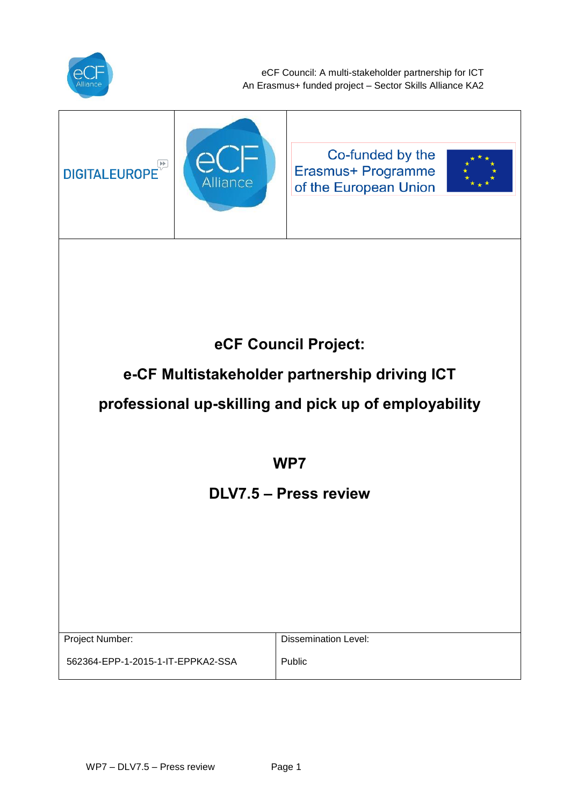

eCF Council: A multi-stakeholder partnership for ICT An Erasmus+ funded project – Sector Skills Alliance KA2

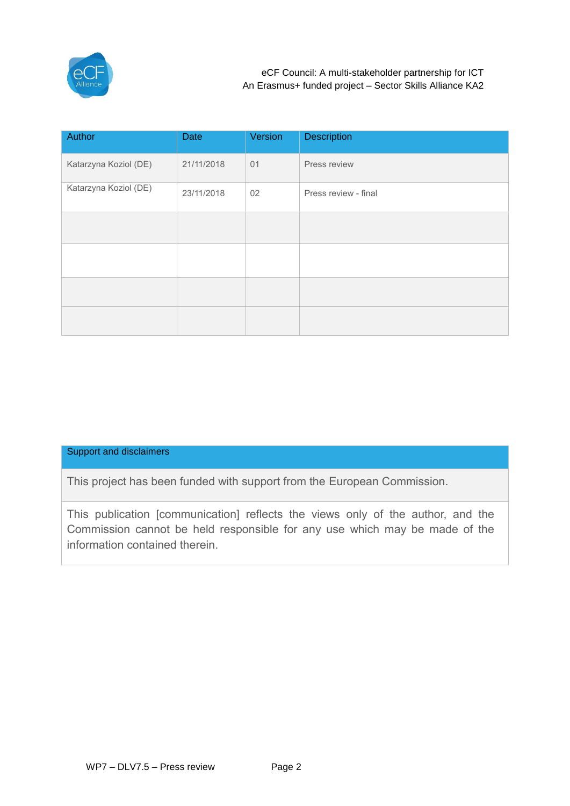

| Author                | Date       | Version | <b>Description</b>   |
|-----------------------|------------|---------|----------------------|
| Katarzyna Koziol (DE) | 21/11/2018 | 01      | Press review         |
| Katarzyna Koziol (DE) | 23/11/2018 | 02      | Press review - final |
|                       |            |         |                      |
|                       |            |         |                      |
|                       |            |         |                      |
|                       |            |         |                      |

## Support and disclaimers

This project has been funded with support from the European Commission.

This publication [communication] reflects the views only of the author, and the Commission cannot be held responsible for any use which may be made of the information contained therein.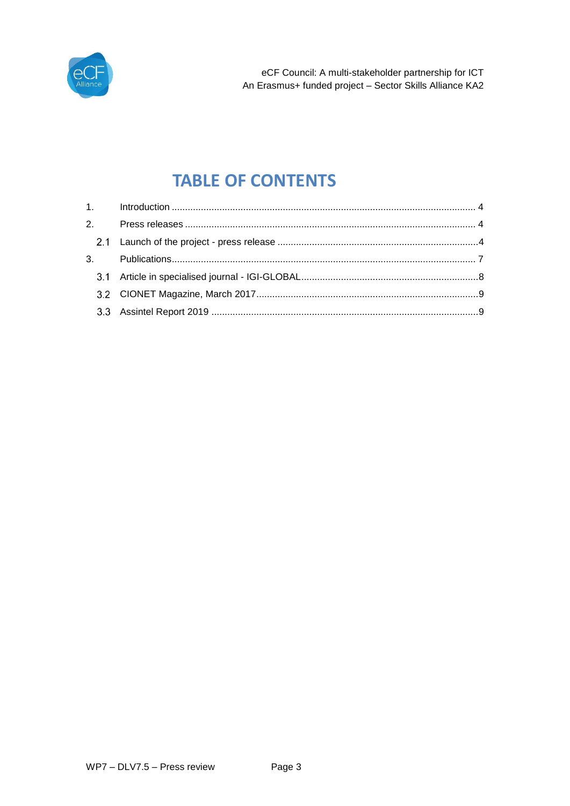

# **TABLE OF CONTENTS**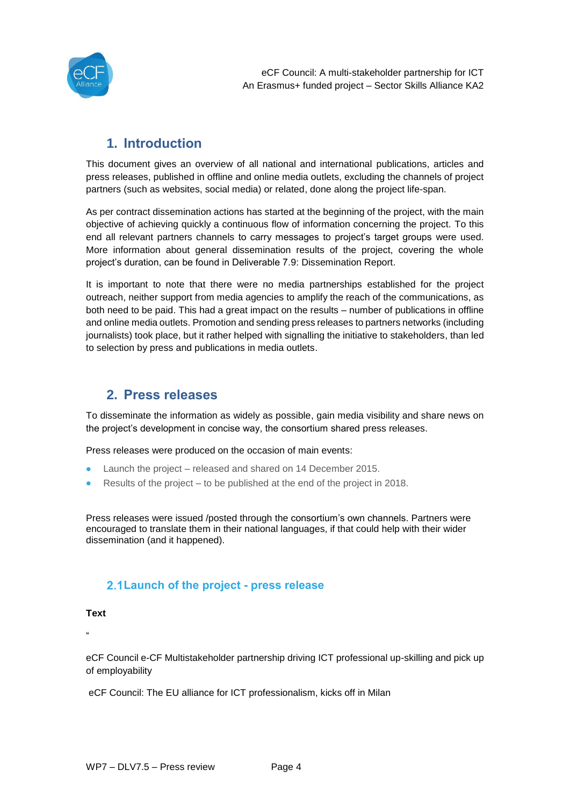

## **1. Introduction**

<span id="page-3-0"></span>This document gives an overview of all national and international publications, articles and press releases, published in offline and online media outlets, excluding the channels of project partners (such as websites, social media) or related, done along the project life-span.

As per contract dissemination actions has started at the beginning of the project, with the main objective of achieving quickly a continuous flow of information concerning the project. To this end all relevant partners channels to carry messages to project's target groups were used. More information about general dissemination results of the project, covering the whole project's duration, can be found in Deliverable 7.9: Dissemination Report.

It is important to note that there were no media partnerships established for the project outreach, neither support from media agencies to amplify the reach of the communications, as both need to be paid. This had a great impact on the results – number of publications in offline and online media outlets. Promotion and sending press releases to partners networks (including journalists) took place, but it rather helped with signalling the initiative to stakeholders, than led to selection by press and publications in media outlets.

## **2. Press releases**

<span id="page-3-1"></span>To disseminate the information as widely as possible, gain media visibility and share news on the project's development in concise way, the consortium shared press releases.

Press releases were produced on the occasion of main events:

- Launch the project released and shared on 14 December 2015.
- Results of the project to be published at the end of the project in 2018.

Press releases were issued /posted through the consortium's own channels. Partners were encouraged to translate them in their national languages, if that could help with their wider dissemination (and it happened).

## <span id="page-3-2"></span>**Launch of the project - press release**

**Text**

"

eCF Council e-CF Multistakeholder partnership driving ICT professional up-skilling and pick up of employability

eCF Council: The EU alliance for ICT professionalism, kicks off in Milan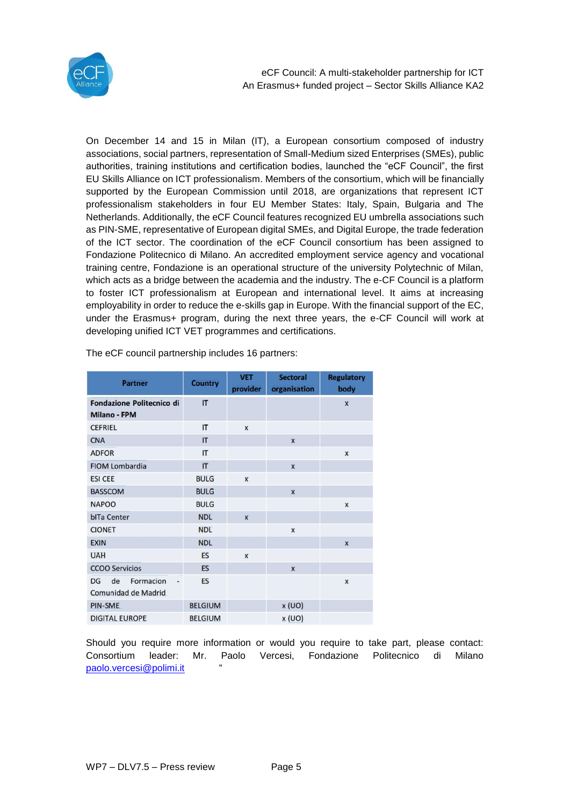

eCF Council: A multi-stakeholder partnership for ICT An Erasmus+ funded project – Sector Skills Alliance KA2

On December 14 and 15 in Milan (IT), a European consortium composed of industry associations, social partners, representation of Small-Medium sized Enterprises (SMEs), public authorities, training institutions and certification bodies, launched the "eCF Council", the first EU Skills Alliance on ICT professionalism. Members of the consortium, which will be financially supported by the European Commission until 2018, are organizations that represent ICT professionalism stakeholders in four EU Member States: Italy, Spain, Bulgaria and The Netherlands. Additionally, the eCF Council features recognized EU umbrella associations such as PIN-SME, representative of European digital SMEs, and Digital Europe, the trade federation of the ICT sector. The coordination of the eCF Council consortium has been assigned to Fondazione Politecnico di Milano. An accredited employment service agency and vocational training centre, Fondazione is an operational structure of the university Polytechnic of Milan, which acts as a bridge between the academia and the industry. The e-CF Council is a platform to foster ICT professionalism at European and international level. It aims at increasing employability in order to reduce the e-skills gap in Europe. With the financial support of the EC, under the Erasmus+ program, during the next three years, the e-CF Council will work at developing unified ICT VET programmes and certifications.

| <b>Partner</b>                                          | <b>Country</b> | <b>VET</b><br>provider | <b>Sectoral</b><br>organisation | <b>Regulatory</b><br>body |
|---------------------------------------------------------|----------------|------------------------|---------------------------------|---------------------------|
| <b>Fondazione Politecnico di</b><br><b>Milano - FPM</b> | IT             |                        |                                 | $\mathsf{x}$              |
| <b>CEFRIEL</b>                                          | IT             | $\mathbf{x}$           |                                 |                           |
| <b>CNA</b>                                              | IT             |                        | $\boldsymbol{\mathsf{x}}$       |                           |
| <b>ADFOR</b>                                            | $\mathsf{I}$   |                        |                                 | $\mathbf{x}$              |
| <b>FIOM Lombardia</b>                                   | IT             |                        | $\overline{\mathbf{x}}$         |                           |
| <b>ESI CEE</b>                                          | <b>BULG</b>    | X                      |                                 |                           |
| <b>BASSCOM</b>                                          | <b>BULG</b>    |                        | $\mathbf{x}$                    |                           |
| <b>NAPOO</b>                                            | <b>BULG</b>    |                        |                                 | $\boldsymbol{\mathsf{x}}$ |
| <b>bITa Center</b>                                      | <b>NDL</b>     | X                      |                                 |                           |
| <b>CIONET</b>                                           | <b>NDL</b>     |                        | X                               |                           |
| <b>EXIN</b>                                             | <b>NDL</b>     |                        |                                 | $\overline{\mathbf{x}}$   |
| <b>UAH</b>                                              | <b>ES</b>      | X                      |                                 |                           |
| <b>CCOO Servicios</b>                                   | <b>ES</b>      |                        | $\overline{\mathbf{x}}$         |                           |
| de<br>Formacion<br>DG<br>Comunidad de Madrid            | <b>ES</b>      |                        |                                 | $\mathbf x$               |
| <b>PIN-SME</b>                                          | <b>BELGIUM</b> |                        | x (UO)                          |                           |
| <b>DIGITAL EUROPE</b>                                   | <b>BELGIUM</b> |                        | x(UO)                           |                           |

The eCF council partnership includes 16 partners:

Should you require more information or would you require to take part, please contact: Consortium leader: Mr. Paolo Vercesi, Fondazione Politecnico di Milano [paolo.vercesi@polimi.it](mailto:paolo.vercesi@polimi.it) "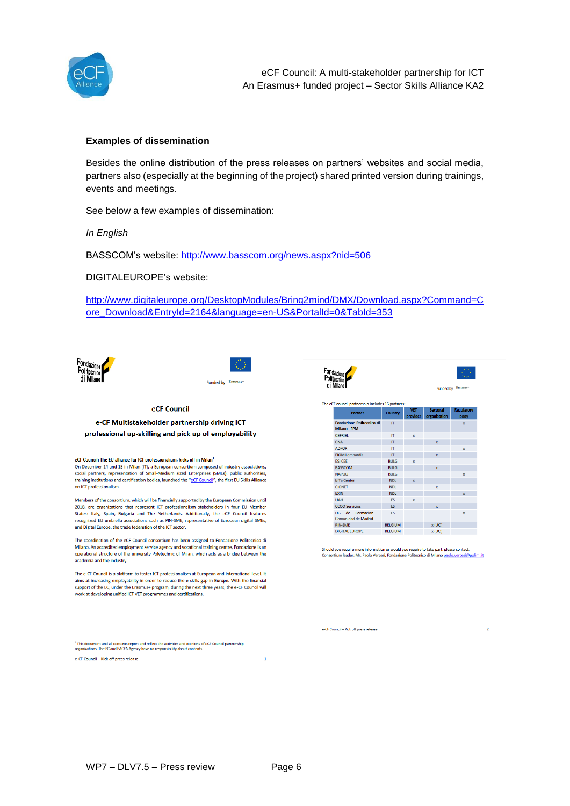

## **Examples of dissemination**

Besides the online distribution of the press releases on partners' websites and social media, partners also (especially at the beginning of the project) shared printed version during trainings, events and meetings.

See below a few examples of dissemination:

*In English*

BASSCOM's website:<http://www.basscom.org/news.aspx?nid=506>

DIGITALEUROPE's website:

[http://www.digitaleurope.org/DesktopModules/Bring2mind/DMX/Download.aspx?Command=C](http://www.digitaleurope.org/DesktopModules/Bring2mind/DMX/Download.aspx?Command=Core_Download&EntryId=2164&language=en-US&PortalId=0&TabId=353) [ore\\_Download&EntryId=2164&language=en-US&PortalId=0&TabId=353](http://www.digitaleurope.org/DesktopModules/Bring2mind/DMX/Download.aspx?Command=Core_Download&EntryId=2164&language=en-US&PortalId=0&TabId=353)





#### eCF Council

### e-CF Multistakeholder partnership driving ICT professional up-skilling and pick up of employability

#### eCF Council: The EU alliance for ICT professionalism, kicks off in Milan<sup>1</sup>

On December 14 and 15 in Milan (IT), a European consortium composed of industry associations, social partners, representation of Small-Medium sized Enterprises (SMEs), public authorities, training institutions and certification bodies, launched the "eCF Council", the first EU Skills Alliance on ICT professionalism.

Members of the consortium, which will be financially supported by the European Commission until 2018, are organizations that represent ICT professionalism stakeholders in four EU Member States: Italy, Spain, Bulgaria and The Netherlands. Additionally, the eCF Council features recognized EU umbrella associations such as PIN-SME, representative of European digital SMEs, and Digital Europe, the trade federation of the ICT sector.

The coordination of the eCF Council consortium has been assigned to Fondazione Politecnico di Milano. An accredited employment service agency and vocational training centre. Fondazione is an operational structure of the university Polytechnic of Milan, which acts as a bridge between the academia and the industry.

The e-CF Council is a platform to foster ICT professionalism at European and international level. It aims at increasing employability in order to reduce the e-skills gap in Europe. With the financial support of the EC, under the Erasmus+ program, during the next three years, the e-CE Council will work at developing unified ICT VET programmes and certifications.

e-CF Council - Kick off press release



 $\overline{2}$ 

| <b>Partner</b>                                             | <b>Country</b> | <b>VET</b><br>provider | <b>Sectoral</b><br>organisation | <b>Regulatory</b><br>body |
|------------------------------------------------------------|----------------|------------------------|---------------------------------|---------------------------|
| <b>Fondazione Politecnico di</b><br>Milano - FPM           | IT.            |                        |                                 | $\overline{\mathbf{x}}$   |
| <b>CEFRIEL</b>                                             | IT             | $\mathbf{x}$           |                                 |                           |
| <b>CNA</b>                                                 | IT             |                        | $\mathbf x$                     |                           |
| <b>ADFOR</b>                                               | IT             |                        |                                 | $\mathbf{x}$              |
| <b>FIOM Lombardia</b>                                      | IT             |                        | $\mathbf{x}$                    |                           |
| <b>FSI CFF</b>                                             | <b>BUIG</b>    | $\mathbf{x}$           |                                 |                           |
| <b>BASSCOM</b>                                             | <b>BULG</b>    |                        | $\mathbf{x}$                    |                           |
| <b>NAPOO</b>                                               | <b>BULG</b>    |                        |                                 | $\mathbf{x}$              |
| <b>blTa Center</b>                                         | NDL            | $\mathbf{x}$           |                                 |                           |
| <b>CIONET</b>                                              | <b>NDL</b>     |                        | $\mathbf{x}$                    |                           |
| <b>EXIN</b>                                                | <b>NDL</b>     |                        |                                 | $\mathbf{x}$              |
| <b>UAH</b>                                                 | ES             | $\mathbf{x}$           |                                 |                           |
| <b>CCOO Servicios</b>                                      | ES             |                        | $\mathbf{x}$                    |                           |
| de<br>Formacion<br><b>DG</b><br><b>Comunidad de Madrid</b> | ES             |                        |                                 | x                         |
| PIN-SME                                                    | <b>BELGIUM</b> |                        | x (UO)                          |                           |
| <b>DIGITAL FUROPE</b>                                      | <b>RELGIUM</b> |                        | x(1)                            |                           |

Should you require more information or would you require to take part, please contact: Consortium leader: Mr. Paolo Vercesi, Fondazione Politecnico di Milano paolo vercesi@polimi.it

<sup>1</sup> This document and all contents report and reflect the activities and opinions of eCF Council partnership<br>organizations. The EC and EACEA Agency have no responsibility about contents.

e-CF Council - Kick off press release

 $\mathbf{1}$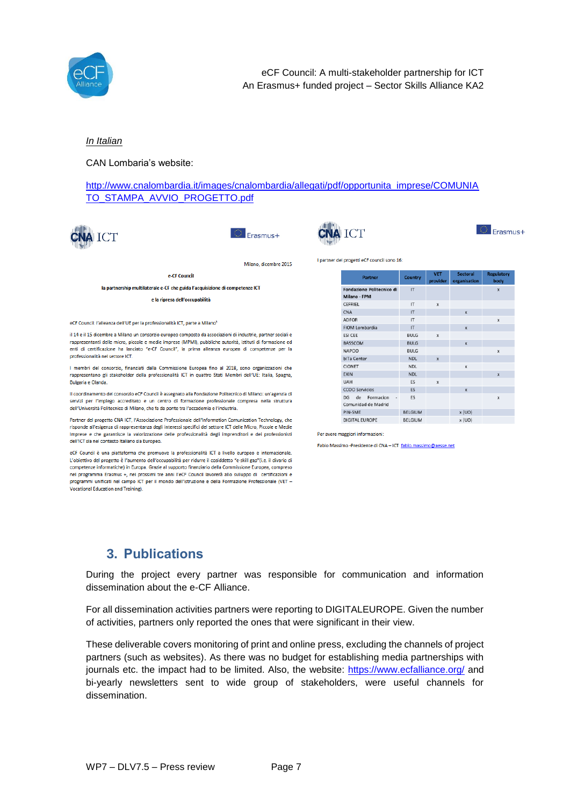

## *In Italian*

CAN Lombaria's website:

[http://www.cnalombardia.it/images/cnalombardia/allegati/pdf/opportunita\\_imprese/COMUNIA](http://www.cnalombardia.it/images/cnalombardia/allegati/pdf/opportunita_imprese/COMUNIATO_STAMPA_AVVIO_PROGETTO.pdf) [TO\\_STAMPA\\_AVVIO\\_PROGETTO.pdf](http://www.cnalombardia.it/images/cnalombardia/allegati/pdf/opportunita_imprese/COMUNIATO_STAMPA_AVVIO_PROGETTO.pdf)



Erasmus+



1<sub>n</sub>

》<br>Frasmus+

Milano, dicembre 2015

e.CE Council

la partnership multilaterale e-CF che guida l'acquisizione di competenze ICT

e la ripresa dell'occupabilità

eCF Council: l'alleanza dell'UE per la professionalità ICT, parte a Milano<sup>3</sup>

il 14 e il 15 dicembre a Milano un consorzio europeo composto da associazioni di industrie, partner sociali e rappresentanti delle micro, piccole e medie imprese (MPMI), pubbliche autorità, istituti di formazione ed enti di certificazione ha lanciato "e-CF Council", la prima alleanza europea di competenze per la professionalità nel settore ICT.

I membri del consorzio, finanziati dalla Commissione Europea fino al 2018, sono organizzazioni che rappresentano gli stakeholder della professionalità ICT in quattro Stati Membri dell'UE: Italia. Spagna. Bulgaria e Olanda.

Il coordinamento del consorzio eCF Council è assegnato alla Fondazione Politecnico di Milano: un'agenzia di servizi per l'impiego accreditato e un centro di formazione professionale compresa nella struttura dell'Università Politecnico di Milano, che fa da ponte tra l'accademia e l'industria.

Partner del progetto CNA ICT, l'Associazione Professionale dell'Information Comunication Technology, che risponde all'esigenza di rappresentanza degli interessi specifici del settore ICT delle Micro, Piccole e Medie Imprese e che garantisce la valorizzazione delle professionalità degli imprenditori e dei professionisti dell'ICT sia nel contesto Italiano sia Europeo.

eCF Council è una piattaforma che promuove la professionalità ICT a livello europeo e internazionale. L'obiettivo del progetto è l'aumento dell'occupabilità per ridurre il cosiddetto "e-skill gap"(i.e. il divario di competenze informatiche) in Europa. Grazie al supporto finanziario della Commissione Europea, compreso nel programma Erasmus +, nei prossimi tre anni l'eCF Council lavorerà allo sviluppo di certificazioni e<br>programmi unificati nel campo ICT per il mondo dell'Istruzione e della Formazione Professionale (VET -Vocational Education and Training).

| Partner                                      | Country                | <b>VET</b><br>provider | Sectoral<br>organisation  | <b>Regulatory</b><br>body |
|----------------------------------------------|------------------------|------------------------|---------------------------|---------------------------|
| Fondazione Politecnico di<br>Milano - FPM    | $\mathsf{I}$           |                        |                           | $\mathbf x$               |
| <b>CEFRIEL</b>                               | IT                     | x                      |                           |                           |
| CNA                                          | $\mathsf{I}\mathsf{T}$ |                        | $\mathbf x$               |                           |
| <b>ADFOR</b>                                 | $\mathsf{I}\mathsf{T}$ |                        |                           | x                         |
| FIOM Lombardia                               | $\Pi$                  |                        | $\mathbf{x}$              |                           |
| <b>ESI CEE</b>                               | <b>BULG</b>            | $\mathbf{x}$           |                           |                           |
| <b>BASSCOM</b>                               | <b>BULG</b>            |                        | $\boldsymbol{\mathsf{x}}$ |                           |
| <b>NAPOO</b>                                 | <b>BULG</b>            |                        |                           | x                         |
| blTa Center                                  | <b>NDL</b>             | $\mathbf{x}$           |                           |                           |
| <b>CIONET</b>                                | <b>NDL</b>             |                        | $\mathbf x$               |                           |
| EXIN                                         | <b>NDL</b>             |                        |                           | $\mathbf x$               |
| UAH                                          | ES                     | $\mathbf{x}$           |                           |                           |
| <b>CCOO Servicios</b>                        | <b>ES</b>              |                        | $\mathbf x$               |                           |
| de<br>Formacion<br>DG<br>Comunidad de Madrid | ES                     |                        |                           | x                         |
| <b>DIAL CARE</b>                             | DELCHIA 4              |                        | $-1101$                   |                           |

BELGIUM

x (UO)

Per avere maggiori informazioni:

**DIGITAL EUROPE** 

Fabio Massimo -Presidente di CNA - ICT fabio.massimo@aesse.net

## <span id="page-6-0"></span>**3. Publications**

During the project every partner was responsible for communication and information dissemination about the e-CF Alliance.

For all dissemination activities partners were reporting to DIGITALEUROPE. Given the number of activities, partners only reported the ones that were significant in their view.

These deliverable covers monitoring of print and online press, excluding the channels of project partners (such as websites). As there was no budget for establishing media partnerships with journals etc. the impact had to be limited. Also, the website:<https://www.ecfalliance.org/> and bi-yearly newsletters sent to wide group of stakeholders, were useful channels for dissemination.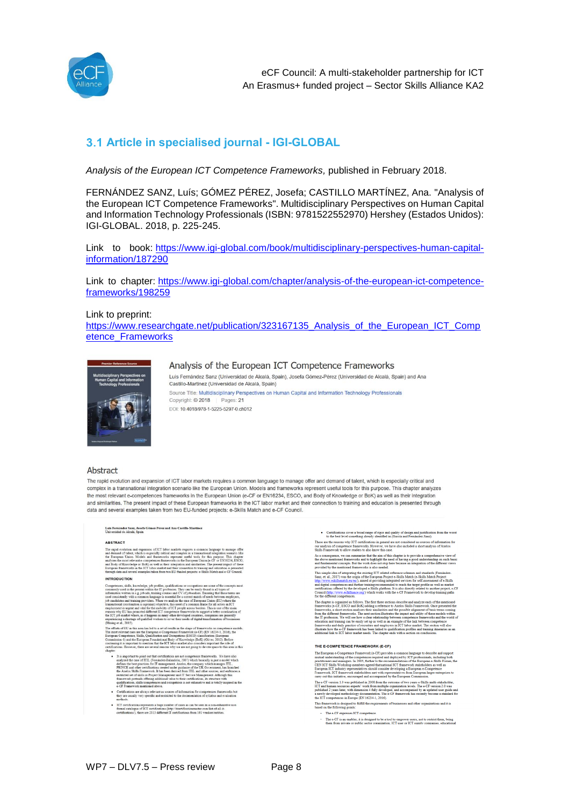

## <span id="page-7-0"></span>**Article in specialised journal - IGI-GLOBAL**

*Analysis of the European ICT Competence Frameworks,* published in February 2018.

FERNÁNDEZ SANZ, Luís; GÓMEZ PÉREZ, Josefa; CASTILLO MARTÍNEZ, Ana. "Analysis of the European ICT Competence Frameworks". Multidisciplinary Perspectives on Human Capital and Information Technology Professionals (ISBN: 9781522552970) Hershey (Estados Unidos): IGI-GLOBAL. 2018, p. 225-245.

Link to book: [https://www.igi-global.com/book/multidisciplinary-perspectives-human-capital](https://www.igi-global.com/book/multidisciplinary-perspectives-human-capital-information/187290)[information/187290](https://www.igi-global.com/book/multidisciplinary-perspectives-human-capital-information/187290)

Link to chapter: [https://www.igi-global.com/chapter/analysis-of-the-european-ict-competence](https://www.igi-global.com/chapter/analysis-of-the-european-ict-competence-frameworks/198259)[frameworks/198259](https://www.igi-global.com/chapter/analysis-of-the-european-ict-competence-frameworks/198259)

#### Link to preprint:

[https://www.researchgate.net/publication/323167135\\_Analysis\\_of\\_the\\_European\\_ICT\\_Comp](https://www.researchgate.net/publication/323167135_Analysis_of_the_European_ICT_Competence_Frameworks) [etence\\_Frameworks](https://www.researchgate.net/publication/323167135_Analysis_of_the_European_ICT_Competence_Frameworks)



#### Analysis of the European ICT Competence Frameworks

Luis Fernández Sanz (Universidad de Alcalá, Spain), Josefa Gómez-Pérez (Universidad de Alcalá, Spain) and Ana Castillo-Martinez (Universidad de Alcalá, Spain) Source Title: Multidisciplinary Perspectives on Human Capital and Information Technology Professionals Copyright: © 2018 Pages: 21 DOI: 10.4018/978-1-5225-5297-0.ch012

#### Abstract

The rapid evolution and expansion of ICT labor markets requires a common language to manage offer and demand of talent, which is especially critical and complex in a transnational integration scenario like the European Union. Models and frameworks represent useful tools for this purpose. This chapter analyzes the most relevant e-competences frameworks in the European Union (e-CF or EN16234, ESCO, and Body of Knowledge or BoK) as well as their integration and similarities. The present impact of these European frameworks in the ICT labor market and their connection to training and education is presented through data and several examples taken from two EU-funded projects: e-Skills Match and e-CF Council.

Luis Fernández Sanz, Josefa Gómez-Pérez and Ana Castillo-Martinez<br>Universidad de Alcalá Snain

#### ABSTRACT

Parameterization and expansion of ICT labor markets requires a common language to manage offer that the state of the state of the state of the state of the state of the state of the state of the state of the state of the **INTRODUCTION** 

is and sevent examples taken from two EU-funded projectic e-Skilh Match and essentially, and the second of the controller projection of the controller section of the second of the section of the section of the section of

al., JU1>)<br> $1$  of EU in this area has led to a set of results in the shape of frameworks or competence is<br>elevative one are the European e-Competence Framework (e.GT) (EN 16234-1, 2015), Before<br> $\alpha-1$  and the European Fra

- but that confidentions are not competence frameworks. We have a first (I. (Framission-in, 2007) which having<br>live is for  $\Gamma$  compared that the state<br>of the state of the state of the state of the state of the state of<br>the
- Certifications are always relevant as sources of information for competences frameworks but<br>they are usually very specific and restricted to the documentation of syllabus and evaluation
- ICT certifications represents a huge number of cases as can be seen in a non-exhaustive non<br>formal catalogue of ICT certifications (http://itcertificationmaster.com/list-of-all-it-<br>certifications), there are 2313 differen

 $\bullet$  Certifications cover a broad range of rigor and quality of design and justification from the to the best level something already identified in (García and Fernández-Sanz). These are the reasons why ICT certifications in general are not considered as sources of information for our analysis of competence frameworks. However, we have also included a short analysis of Axelos Skills Framework to

Shill Framework to allow readers to also know this case.<br>
As a consequence, we can summarize that the aim of this chapter is to provide a comprehensive view of<br>a show mentioned frameworks and to highlight the need of havi certifications offer<br>Council (http://www.<br>for the different co

for the different competences.<br>  $\label{eq:22}$  The different competents as follows. The first three sections describe and analyze each of the mentioned fear<br>mevents, dec. F, ESCO and BoSN, adding a reference to Axtelos Skith

#### THE E-COMPETENCE FRAMEWORK (E-CF)

The European e-Competence Framework (e-CF) provides a common language to describe and support multil understanding of the competence required and depopted by UCT precisionals, including the three presents present products Carry on unit numeric material and accompances by une numerical control and the CFT version 1.0 was published in 2008 from the outcome of two years e-Skills multi-stakehold ICT and human resources experts 'work from multi  $\label{thm:main} \begin{minipage}[t]{0.9\linewidth} \textbf{This framework is designed to fulfill the requirement based on the following points:} \end{minipage}$ nts of businesses and other organizations and it is

The e-CF expresses ICT competence

- The e-CF is an enabler; it is designed to be a tool to empower users, not to restrict them, being<br>them from private or public sector organization, ICT user or ICT supply companies, educational